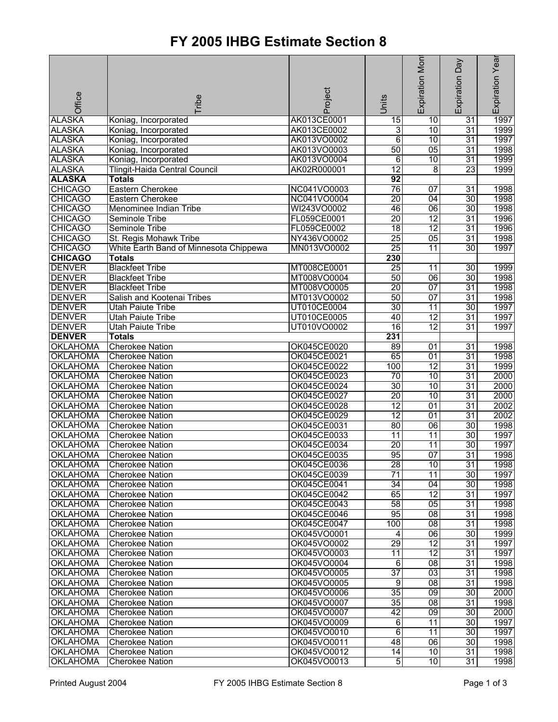## **FY 2005 IHBG Estimate Section 8**

|                                    |                                                  |                            |                       | Expiration Mon        | Day                   | Expiration Year |
|------------------------------------|--------------------------------------------------|----------------------------|-----------------------|-----------------------|-----------------------|-----------------|
|                                    |                                                  |                            |                       |                       |                       |                 |
|                                    |                                                  |                            |                       |                       |                       |                 |
|                                    |                                                  |                            |                       |                       |                       |                 |
| Office                             | <b>Tribe</b>                                     | Project                    | Units                 |                       | Expiration            |                 |
| <b>ALASKA</b>                      | Koniag, Incorporated                             | AK013CE0001                | $\overline{15}$       | $\overline{10}$       | $\overline{31}$       | 1997            |
| <b>ALASKA</b>                      | Koniag, Incorporated                             | AK013CE0002                | $\overline{3}$        | 10                    | $\overline{31}$       | 1999            |
| <b>ALASKA</b>                      | Koniag, Incorporated                             | AK013VO0002                | 6                     | 10                    | 31                    | 1997            |
| <b>ALASKA</b>                      | Koniag, Incorporated                             | AK013VO0003                | 50                    | $\overline{05}$       | $\overline{31}$       | 1998            |
| <b>ALASKA</b>                      | Koniag, Incorporated                             | AK013VO0004                | 6                     | 10                    | $\overline{31}$       | 1999            |
| <b>ALASKA</b>                      | Tlingit-Haida Central Council                    | AK02R000001                | $\overline{12}$       | 8                     | $\overline{23}$       | 1999            |
| <b>ALASKA</b>                      | <b>Totals</b>                                    |                            | 92                    |                       |                       |                 |
| <b>CHICAGO</b>                     | Eastern Cherokee                                 | NC041VO0003                | 76                    | 07                    | 31                    | 1998            |
| <b>CHICAGO</b>                     | Eastern Cherokee                                 | NC041VO0004                | $\overline{20}$       | $\overline{04}$       | $\overline{30}$       | 1998            |
| <b>CHICAGO</b>                     | Menominee Indian Tribe                           | WI243VO0002                | 46                    | $\overline{06}$       | 30                    | 1998            |
| <b>CHICAGO</b>                     | Seminole Tribe                                   | FL059CE0001                | $\overline{20}$       | $\overline{12}$       | 31                    | 1996            |
| <b>CHICAGO</b>                     | Seminole Tribe                                   | FL059CE0002                | $\overline{18}$       | $\overline{12}$       | $\overline{31}$       | 1996            |
| <b>CHICAGO</b>                     | St. Regis Mohawk Tribe                           | NY436VO0002                | $\overline{25}$       | 05                    | 31                    | 1998            |
| <b>CHICAGO</b>                     | White Earth Band of Minnesota Chippewa           | MN013VO0002                | 25                    | 11                    | 30                    | 1997            |
| <b>CHICAGO</b>                     | <b>Totals</b>                                    |                            | 230                   |                       |                       |                 |
| <b>DENVER</b>                      | <b>Blackfeet Tribe</b>                           | MT008CE0001                | 25                    | 11                    | 30                    | 1999            |
| <b>DENVER</b>                      | <b>Blackfeet Tribe</b>                           | MT008VO0004                | 50                    | 06                    | 30                    | 1998            |
| <b>DENVER</b>                      | <b>Blackfeet Tribe</b>                           | MT008VO0005                | $\overline{20}$       | 07                    | 31                    | 1998            |
| <b>DENVER</b>                      | Salish and Kootenai Tribes                       | MT013VO0002                | 50                    | 07                    | $\overline{31}$       | 1998            |
| <b>DENVER</b>                      | <b>Utah Paiute Tribe</b>                         | UT010CE0004                | $\overline{30}$<br>40 | 11<br>$\overline{12}$ | 30<br>31              | 1997            |
| <b>DENVER</b>                      | <b>Utah Paiute Tribe</b>                         | UT010CE0005                |                       | $\overline{12}$       |                       | 1997            |
| <b>DENVER</b><br><b>DENVER</b>     | <b>Utah Paiute Tribe</b>                         | UT010VO0002                | 16                    |                       | $\overline{31}$       | 1997            |
|                                    | <b>Totals</b>                                    |                            | 231                   |                       |                       |                 |
| <b>OKLAHOMA</b>                    | <b>Cherokee Nation</b>                           | OK045CE0020                | 89                    | 01                    | $\overline{31}$       | 1998            |
| <b>OKLAHOMA</b><br><b>OKLAHOMA</b> | <b>Cherokee Nation</b>                           | OK045CE0021<br>OK045CE0022 | 65<br>100             | 01<br>$\overline{12}$ | 31<br>$\overline{31}$ | 1998<br>1999    |
| <b>OKLAHOMA</b>                    | <b>Cherokee Nation</b><br><b>Cherokee Nation</b> | OK045CE0023                | 70                    | 10                    | $\overline{31}$       | 2000            |
| <b>OKLAHOMA</b>                    | <b>Cherokee Nation</b>                           | OK045CE0024                | 30                    | 10                    | 31                    | 2000            |
| <b>OKLAHOMA</b>                    | <b>Cherokee Nation</b>                           | OK045CE0027                | $\overline{20}$       | $\overline{10}$       | 31                    | 2000            |
| <b>OKLAHOMA</b>                    | <b>Cherokee Nation</b>                           | OK045CE0028                | $\overline{12}$       | $\overline{01}$       | $\overline{31}$       | 2002            |
| <b>OKLAHOMA</b>                    | <b>Cherokee Nation</b>                           | OK045CE0029                | 12                    | 01                    | 31                    | 2002            |
| <b>OKLAHOMA</b>                    | <b>Cherokee Nation</b>                           | OK045CE0031                | 80                    | 06                    | 30                    | 1998            |
| <b>OKLAHOMA</b>                    | <b>Cherokee Nation</b>                           | OK045CE0033                | $\overline{11}$       | $\overline{11}$       | 30                    | 1997            |
| <b>OKLAHOMA</b>                    | <b>Cherokee Nation</b>                           | OK045CE0034                | $\overline{20}$       | 11                    | $\overline{30}$       | 1997            |
| <b>OKLAHOMA</b>                    | <b>Cherokee Nation</b>                           | OK045CE0035                | 95                    | $\overline{07}$       | $\overline{31}$       | 1998            |
| <b>OKLAHOMA</b>                    | <b>Cherokee Nation</b>                           | OK045CE0036                | 28                    | 10                    | 31                    | 1998            |
| <b>OKLAHOMA</b>                    | <b>Cherokee Nation</b>                           | OK045CE0039                | 71                    | 11                    | 30                    | 1997            |
| <b>OKLAHOMA</b>                    | <b>Cherokee Nation</b>                           | OK045CE0041                | $\overline{34}$       | 04                    | 30                    | 1998            |
| <b>OKLAHOMA</b>                    | <b>Cherokee Nation</b>                           | OK045CE0042                | 65                    | $\overline{12}$       | 31                    | 1997            |
| <b>OKLAHOMA</b>                    | <b>Cherokee Nation</b>                           | OK045CE0043                | 58                    | 05                    | 31                    | 1998            |
| <b>OKLAHOMA</b>                    | <b>Cherokee Nation</b>                           | OK045CE0046                | 95                    | 08                    | 31                    | 1998            |
| <b>OKLAHOMA</b>                    | Cherokee Nation                                  | OK045CE0047                | 100                   | $\overline{08}$       | $\overline{31}$       | 1998            |
| <b>OKLAHOMA</b>                    | <b>Cherokee Nation</b>                           | OK045VO0001                | 4                     | $\overline{06}$       | 30                    | 1999            |
| <b>OKLAHOMA</b>                    | <b>Cherokee Nation</b>                           | OK045VO0002                | $\overline{29}$       | $\overline{12}$       | 31                    | 1997            |
| <b>OKLAHOMA</b>                    | <b>Cherokee Nation</b>                           | OK045VO0003                | 11                    | $\overline{12}$       | 31                    | 1997            |
| <b>OKLAHOMA</b>                    | <b>Cherokee Nation</b>                           | OK045VO0004                | $\overline{6}$        | 08                    | 31                    | 1998            |
| <b>OKLAHOMA</b>                    | <b>Cherokee Nation</b>                           | OK045VO0005                | $\overline{37}$       | $\overline{03}$       | 31                    | 1998            |
| <b>OKLAHOMA</b>                    | <b>Cherokee Nation</b>                           | OK045VO0005                | $\overline{9}$        | $\overline{08}$       | $\overline{31}$       | 1998            |
| <b>OKLAHOMA</b>                    | <b>Cherokee Nation</b>                           | OK045VO0006                | $\overline{35}$       | $\overline{09}$       | 30                    | 2000            |
| <b>OKLAHOMA</b>                    | <b>Cherokee Nation</b>                           | OK045VO0007                | $\overline{35}$       | 08                    | 31                    | 1998            |
| <b>OKLAHOMA</b>                    | <b>Cherokee Nation</b>                           | OK045VO0007                | $\overline{42}$       | $\overline{09}$       | 30                    | 2000            |
| <b>OKLAHOMA</b>                    | <b>Cherokee Nation</b>                           | OK045VO0009                | 6                     | 11                    | 30                    | 1997            |
| <b>OKLAHOMA</b>                    | <b>Cherokee Nation</b>                           | OK045VO0010                | 6                     | $\overline{11}$       | 30                    | 1997            |
| <b>OKLAHOMA</b>                    | <b>Cherokee Nation</b>                           | OK045VO0011                | 48                    | 06                    | 30                    | 1998            |
| <b>OKLAHOMA</b>                    | <b>Cherokee Nation</b>                           | OK045VO0012                | 14                    | 10                    | 31                    | 1998            |
| <b>OKLAHOMA</b>                    | <b>Cherokee Nation</b>                           | OK045VO0013                | 5                     | 10                    | $\overline{31}$       | 1998            |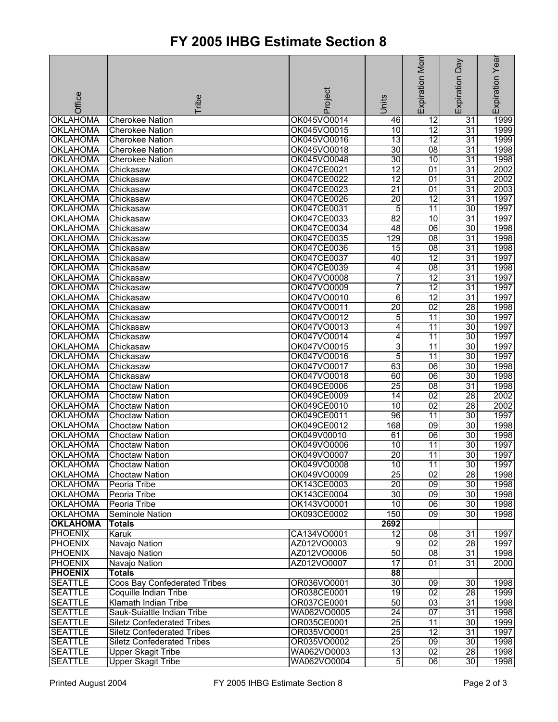## **FY 2005 IHBG Estimate Section 8**

|                 |                                   |             |                 | Expiration Mon  | Veq             | Expiration Year  |
|-----------------|-----------------------------------|-------------|-----------------|-----------------|-----------------|------------------|
|                 |                                   |             |                 |                 |                 |                  |
|                 |                                   |             |                 |                 |                 |                  |
|                 |                                   |             |                 |                 |                 |                  |
| Office          | Tribe                             | Project     | Units           |                 | Expiration      |                  |
| <b>OKLAHOMA</b> | <b>Cherokee Nation</b>            | OK045VO0014 | 46              | 12              | 31              | 1999             |
| <b>OKLAHOMA</b> | <b>Cherokee Nation</b>            | OK045VO0015 | 10              | $\overline{12}$ | 31              | 1999             |
| <b>OKLAHOMA</b> | <b>Cherokee Nation</b>            | OK045VO0016 | 13              | 12              | $\overline{31}$ | 1999             |
| <b>OKLAHOMA</b> | <b>Cherokee Nation</b>            | OK045VO0018 | $\overline{30}$ | $\overline{08}$ | $\overline{31}$ | 1998             |
| <b>OKLAHOMA</b> | <b>Cherokee Nation</b>            | OK045VO0048 | $\overline{30}$ | 10              | $\overline{31}$ | 1998             |
| <b>OKLAHOMA</b> | Chickasaw                         | OK047CE0021 | $\overline{12}$ | $\overline{01}$ | $\overline{31}$ | 2002             |
| <b>OKLAHOMA</b> | Chickasaw                         | OK047CE0022 | $\overline{12}$ | 01              | $\overline{31}$ | 2002             |
| <b>OKLAHOMA</b> | Chickasaw                         | OK047CE0023 | $\overline{21}$ | 01              | 31              | 2003             |
| <b>OKLAHOMA</b> | Chickasaw                         | OK047CE0026 | $\overline{20}$ | $\overline{12}$ | $\overline{31}$ | 1997             |
| <b>OKLAHOMA</b> | Chickasaw                         | OK047CE0031 | 5               | 11              | 30              | 1997             |
| <b>OKLAHOMA</b> | Chickasaw                         | OK047CE0033 | 82              | 10              | $\overline{31}$ | 1997             |
| <b>OKLAHOMA</b> | Chickasaw                         | OK047CE0034 | 48              | 06              | 30              | 1998             |
| <b>OKLAHOMA</b> | Chickasaw                         | OK047CE0035 | 129             | $\overline{08}$ | 31              | 1998             |
| <b>OKLAHOMA</b> | Chickasaw                         | OK047CE0036 | $\overline{15}$ | $\overline{08}$ | $\overline{31}$ | 1998             |
| <b>OKLAHOMA</b> | Chickasaw                         | OK047CE0037 | 40              | $\overline{12}$ | $\overline{31}$ | 1997             |
| <b>OKLAHOMA</b> | Chickasaw                         | OK047CE0039 | 4               | $\overline{08}$ | $\overline{31}$ | 1998             |
| <b>OKLAHOMA</b> | Chickasaw                         | OK047VO0008 | 7               | $\overline{12}$ | $\overline{31}$ | 1997             |
| <b>OKLAHOMA</b> | Chickasaw                         | OK047VO0009 | 7               | 12              | 31              | 1997             |
| <b>OKLAHOMA</b> | Chickasaw                         | OK047VO0010 | 6               | $\overline{12}$ | $\overline{31}$ | 1997             |
| <b>OKLAHOMA</b> | Chickasaw                         | OK047VO0011 | $\overline{20}$ | 02              | 28              | 1998             |
| <b>OKLAHOMA</b> | Chickasaw                         | OK047VO0012 | 5               | $\overline{11}$ | 30              | 1997             |
| <b>OKLAHOMA</b> | Chickasaw                         | OK047VO0013 | 4               | 11              | 30              | 1997             |
| <b>OKLAHOMA</b> | Chickasaw                         | OK047VO0014 | 4               | 11              | 30              | 1997             |
| <b>OKLAHOMA</b> | Chickasaw                         | OK047VO0015 | $\overline{3}$  | $\overline{11}$ | $\overline{30}$ | 1997             |
| <b>OKLAHOMA</b> | Chickasaw                         | OK047VO0016 | 5               | $\overline{11}$ | 30              | 1997             |
| <b>OKLAHOMA</b> | Chickasaw                         | OK047VO0017 | 63              | 06              | 30              | 1998             |
| <b>OKLAHOMA</b> | Chickasaw                         | OK047VO0018 | 60              | 06              | 30              | 1998             |
| OKLAHOMA        | <b>Choctaw Nation</b>             | OK049CE0006 | $\overline{25}$ | $\overline{08}$ | $\overline{31}$ | 1998             |
| <b>OKLAHOMA</b> | <b>Choctaw Nation</b>             | OK049CE0009 | 14              | $\overline{02}$ | $\overline{28}$ | 2002             |
| <b>OKLAHOMA</b> | <b>Choctaw Nation</b>             | OK049CE0010 | 10              | 02              | 28              | $\frac{1}{2002}$ |
| <b>OKLAHOMA</b> | <b>Choctaw Nation</b>             | OK049CE0011 | 96              | 11              | 30              | 1997             |
| <b>OKLAHOMA</b> | <b>Choctaw Nation</b>             | OK049CE0012 | 168             | 09              | 30              | 1998             |
| <b>OKLAHOMA</b> | <b>Choctaw Nation</b>             | OK049V00010 | 61              | $\overline{06}$ | 30              | 1998             |
| OKLAHOMA        | <b>Choctaw Nation</b>             | OK049VO0006 | 10              | $\overline{11}$ | $\overline{30}$ | 1997             |
| <b>OKLAHOMA</b> | <b>Choctaw Nation</b>             | OK049VO0007 | 20              | 11              | 30              | 1997             |
| <b>OKLAHOMA</b> | <b>Choctaw Nation</b>             | OK049VO0008 | 10              | 11              | 30              | 1997             |
| <b>OKLAHOMA</b> | <b>Choctaw Nation</b>             | OK049VO0009 | 25              | 02              | 28              | 1998             |
| <b>OKLAHOMA</b> | Peoria Tribe                      | OK143CE0003 | $\overline{20}$ | $\overline{09}$ | 30              | 1998             |
| <b>OKLAHOMA</b> | Peoria Tribe                      | OK143CE0004 | 30              | $\overline{09}$ | 30              | 1998             |
| <b>OKLAHOMA</b> | Peoria Tribe                      | OK143VO0001 | 10              | 06              | 30              | 1998             |
| <b>OKLAHOMA</b> | Seminole Nation                   | OK093CE0002 | 150             | 09              | 30              | 1998             |
| <b>OKLAHOMA</b> | Totals                            |             | 2692            |                 |                 |                  |
| <b>PHOENIX</b>  | Karuk                             | CA134VO0001 | $\overline{12}$ | $\overline{08}$ | $\overline{31}$ | 1997             |
| <b>PHOENIX</b>  | Navajo Nation                     | AZ012VO0003 | 9               | $\overline{02}$ | 28              | 1997             |
| <b>PHOENIX</b>  | Navajo Nation                     | AZ012VO0006 | $\overline{50}$ | 08              | 31              | 1998             |
| <b>PHOENIX</b>  | Navajo Nation                     | AZ012VO0007 | 17              | 01              | $\overline{31}$ | 2000             |
| <b>PHOENIX</b>  | <b>Totals</b>                     |             | 88              |                 |                 |                  |
| <b>SEATTLE</b>  | Coos Bay Confederated Tribes      | OR036VO0001 | 30              | 09              | 30              | 1998             |
| <b>SEATTLE</b>  | Coquille Indian Tribe             | OR038CE0001 | $\overline{19}$ | $\overline{02}$ | $\overline{28}$ | 1999             |
| <b>SEATTLE</b>  | Klamath Indian Tribe              | OR037CE0001 | $\overline{50}$ | 03              | 31              | 1998             |
| <b>SEATTLE</b>  | Sauk-Suiattle Indian Tribe        | WA062VO0005 | 24              | 07              | 31              | 1998             |
| <b>SEATTLE</b>  | <b>Siletz Confederated Tribes</b> | OR035CE0001 | 25              | $\overline{11}$ | 30              | 1999             |
| <b>SEATTLE</b>  | <b>Siletz Confederated Tribes</b> | OR035VO0001 | $\overline{25}$ | 12              | $\overline{31}$ | 1997             |
| <b>SEATTLE</b>  | <b>Siletz Confederated Tribes</b> | OR035VO0002 | $\overline{25}$ | $\overline{09}$ | 30              | 1998             |
| <b>SEATTLE</b>  | <b>Upper Skagit Tribe</b>         | WA062VO0003 | $\overline{13}$ | 02              | 28              | 1998             |
| <b>SEATTLE</b>  | <b>Upper Skagit Tribe</b>         | WA062VO0004 | $\overline{5}$  | $\overline{06}$ | 30              | 1998             |